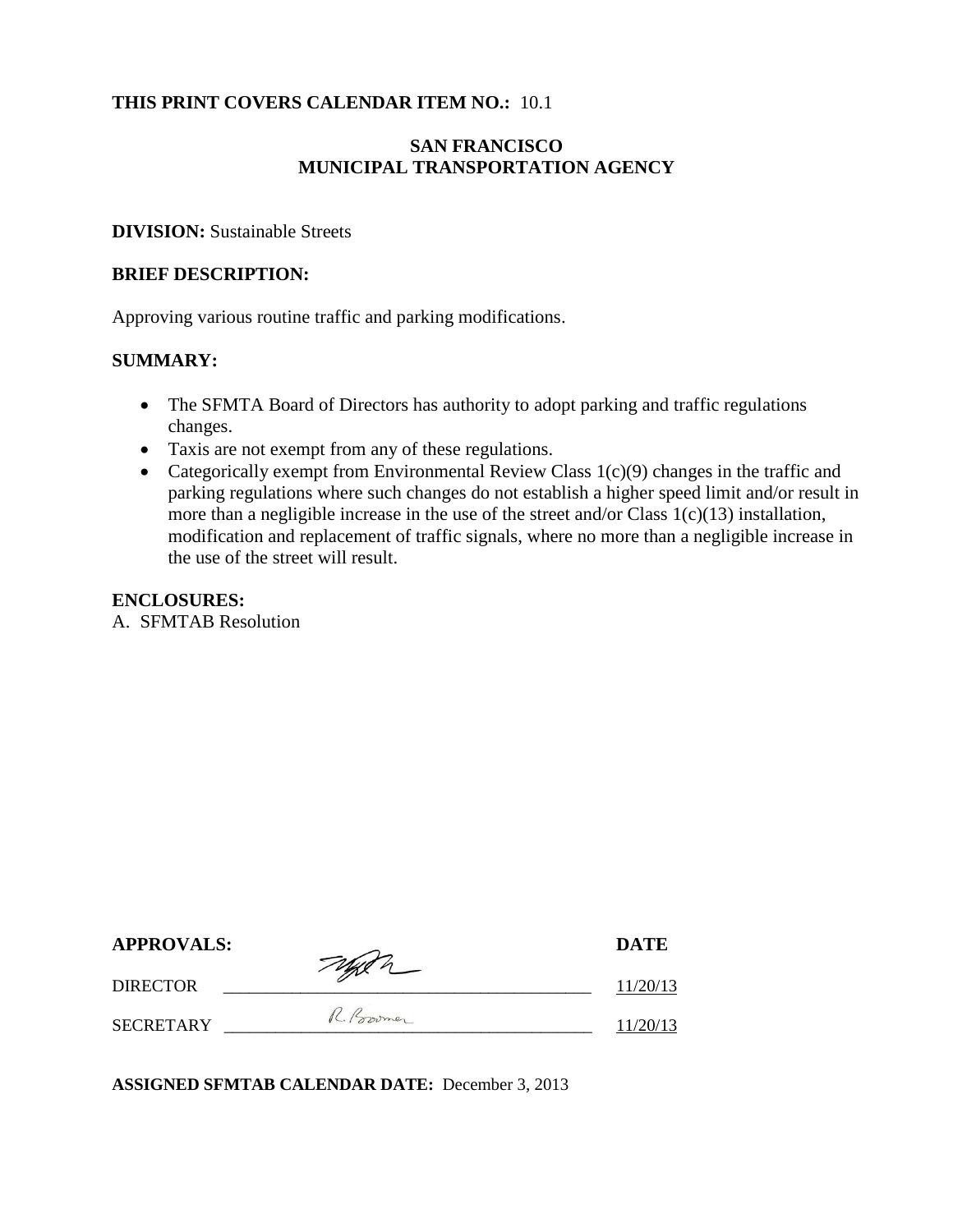### **THIS PRINT COVERS CALENDAR ITEM NO.:** 10.1

## **SAN FRANCISCO MUNICIPAL TRANSPORTATION AGENCY**

### **DIVISION:** Sustainable Streets

### **BRIEF DESCRIPTION:**

Approving various routine traffic and parking modifications.

### **SUMMARY:**

- The SFMTA Board of Directors has authority to adopt parking and traffic regulations changes.
- Taxis are not exempt from any of these regulations.
- Categorically exempt from Environmental Review Class  $1(c)(9)$  changes in the traffic and parking regulations where such changes do not establish a higher speed limit and/or result in more than a negligible increase in the use of the street and/or Class 1(c)(13) installation, modification and replacement of traffic signals, where no more than a negligible increase in the use of the street will result.

#### **ENCLOSURES:**

A. SFMTAB Resolution

| <b>APPROVALS:</b> | Taylor      | <b>DATE</b> |
|-------------------|-------------|-------------|
| <b>DIRECTOR</b>   |             | 11/20/13    |
| <b>SECRETARY</b>  | R. Province | 11/20/13    |

**ASSIGNED SFMTAB CALENDAR DATE:** December 3, 2013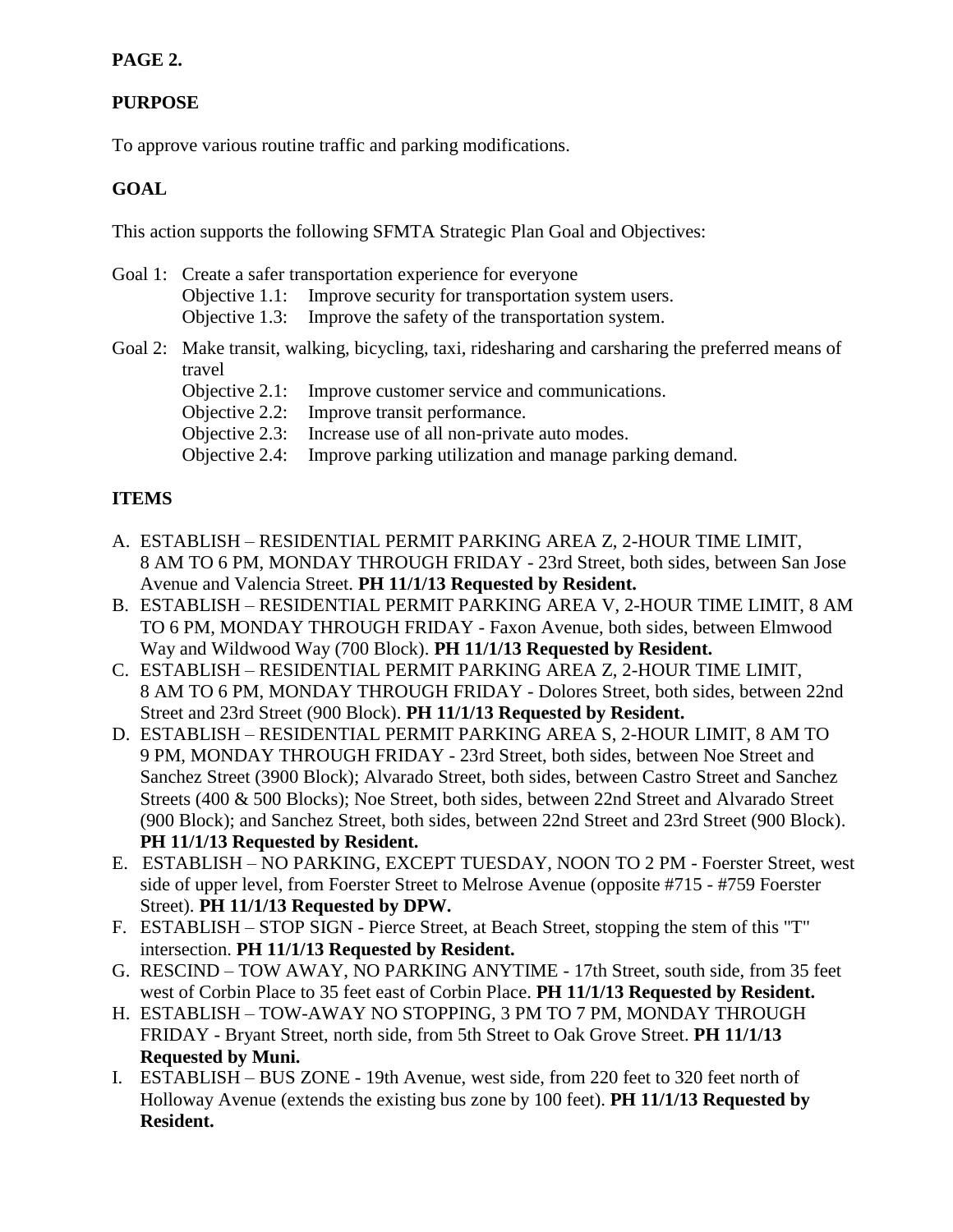## **PAGE 2.**

## **PURPOSE**

To approve various routine traffic and parking modifications.

## **GOAL**

This action supports the following SFMTA Strategic Plan Goal and Objectives:

- Goal 1: Create a safer transportation experience for everyone Objective 1.1: Improve security for transportation system users. Objective 1.3: Improve the safety of the transportation system.
- Goal 2: Make transit, walking, bicycling, taxi, ridesharing and carsharing the preferred means of travel
	- Objective 2.1: Improve customer service and communications.
	- Objective 2.2: Improve transit performance.
	- Objective 2.3: Increase use of all non-private auto modes.
	- Objective 2.4: Improve parking utilization and manage parking demand.

### **ITEMS**

- A. ESTABLISH RESIDENTIAL PERMIT PARKING AREA Z, 2-HOUR TIME LIMIT, 8 AM TO 6 PM, MONDAY THROUGH FRIDAY - 23rd Street, both sides, between San Jose Avenue and Valencia Street. **PH 11/1/13 Requested by Resident.**
- B. ESTABLISH RESIDENTIAL PERMIT PARKING AREA V, 2-HOUR TIME LIMIT, 8 AM TO 6 PM, MONDAY THROUGH FRIDAY - Faxon Avenue, both sides, between Elmwood Way and Wildwood Way (700 Block). **PH 11/1/13 Requested by Resident.**
- C. ESTABLISH RESIDENTIAL PERMIT PARKING AREA Z, 2-HOUR TIME LIMIT, 8 AM TO 6 PM, MONDAY THROUGH FRIDAY - Dolores Street, both sides, between 22nd Street and 23rd Street (900 Block). **PH 11/1/13 Requested by Resident.**
- D. ESTABLISH RESIDENTIAL PERMIT PARKING AREA S, 2-HOUR LIMIT, 8 AM TO 9 PM, MONDAY THROUGH FRIDAY - 23rd Street, both sides, between Noe Street and Sanchez Street (3900 Block); Alvarado Street, both sides, between Castro Street and Sanchez Streets (400 & 500 Blocks); Noe Street, both sides, between 22nd Street and Alvarado Street (900 Block); and Sanchez Street, both sides, between 22nd Street and 23rd Street (900 Block). **PH 11/1/13 Requested by Resident.**
- E. ESTABLISH NO PARKING, EXCEPT TUESDAY, NOON TO 2 PM Foerster Street, west side of upper level, from Foerster Street to Melrose Avenue (opposite #715 - #759 Foerster Street). **PH 11/1/13 Requested by DPW.**
- F. ESTABLISH STOP SIGN Pierce Street, at Beach Street, stopping the stem of this "T" intersection. **PH 11/1/13 Requested by Resident.**
- G. RESCIND TOW AWAY, NO PARKING ANYTIME 17th Street, south side, from 35 feet west of Corbin Place to 35 feet east of Corbin Place. **PH 11/1/13 Requested by Resident.**
- H. ESTABLISH TOW-AWAY NO STOPPING, 3 PM TO 7 PM, MONDAY THROUGH FRIDAY - Bryant Street, north side, from 5th Street to Oak Grove Street. **PH 11/1/13 Requested by Muni.**
- I. ESTABLISH BUS ZONE 19th Avenue, west side, from 220 feet to 320 feet north of Holloway Avenue (extends the existing bus zone by 100 feet). **PH 11/1/13 Requested by Resident.**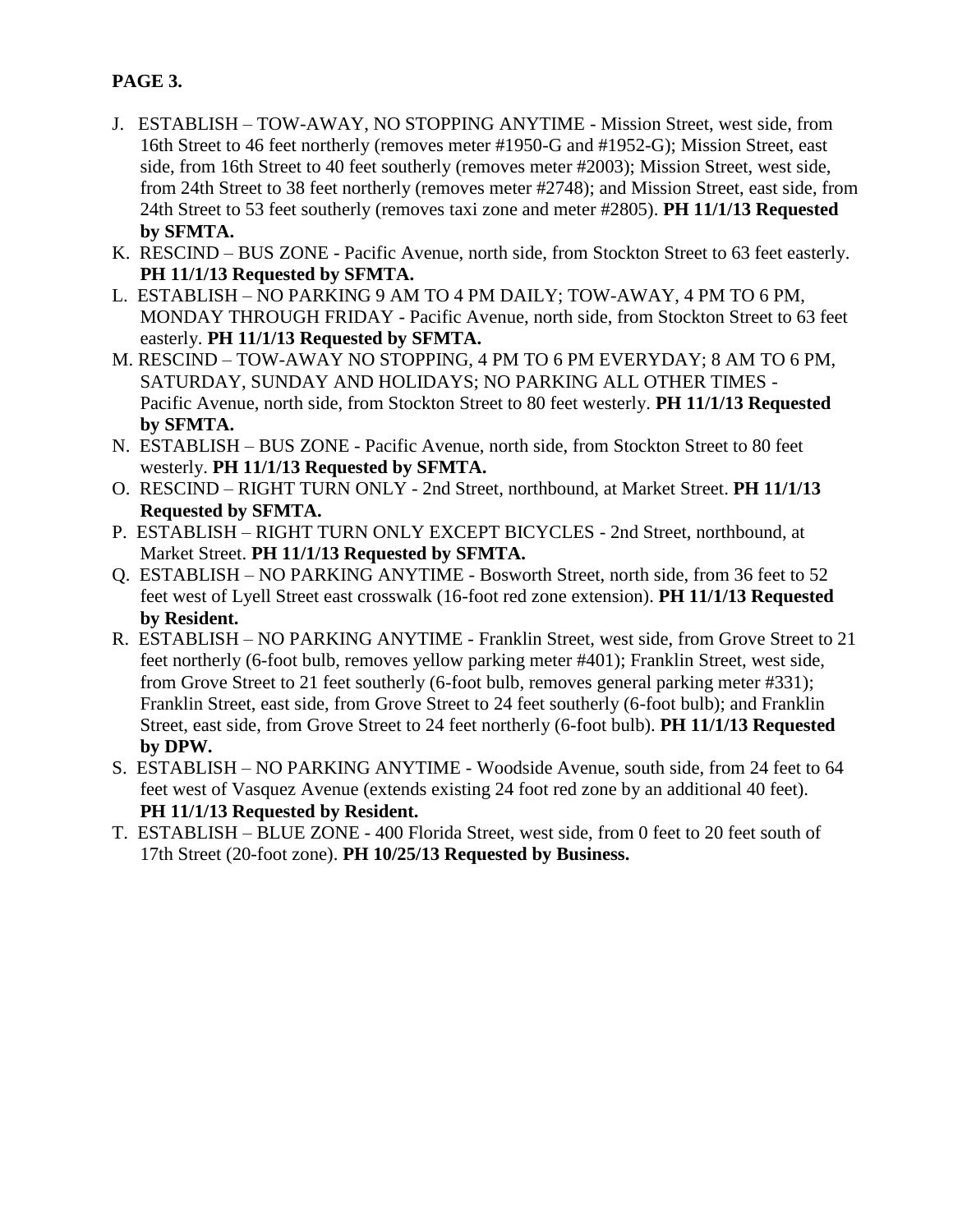# **PAGE 3.**

- J. ESTABLISH TOW-AWAY, NO STOPPING ANYTIME Mission Street, west side, from 16th Street to 46 feet northerly (removes meter #1950-G and #1952-G); Mission Street, east side, from 16th Street to 40 feet southerly (removes meter #2003); Mission Street, west side, from 24th Street to 38 feet northerly (removes meter #2748); and Mission Street, east side, from 24th Street to 53 feet southerly (removes taxi zone and meter #2805). **PH 11/1/13 Requested by SFMTA.**
- K. RESCIND BUS ZONE Pacific Avenue, north side, from Stockton Street to 63 feet easterly. **PH 11/1/13 Requested by SFMTA.**
- L. ESTABLISH NO PARKING 9 AM TO 4 PM DAILY; TOW-AWAY, 4 PM TO 6 PM, MONDAY THROUGH FRIDAY - Pacific Avenue, north side, from Stockton Street to 63 feet easterly. **PH 11/1/13 Requested by SFMTA.**
- M. RESCIND TOW-AWAY NO STOPPING, 4 PM TO 6 PM EVERYDAY; 8 AM TO 6 PM, SATURDAY, SUNDAY AND HOLIDAYS; NO PARKING ALL OTHER TIMES - Pacific Avenue, north side, from Stockton Street to 80 feet westerly. **PH 11/1/13 Requested by SFMTA.**
- N. ESTABLISH BUS ZONE Pacific Avenue, north side, from Stockton Street to 80 feet westerly. **PH 11/1/13 Requested by SFMTA.**
- O. RESCIND RIGHT TURN ONLY 2nd Street, northbound, at Market Street. **PH 11/1/13 Requested by SFMTA.**
- P. ESTABLISH RIGHT TURN ONLY EXCEPT BICYCLES 2nd Street, northbound, at Market Street. **PH 11/1/13 Requested by SFMTA.**
- Q. ESTABLISH NO PARKING ANYTIME Bosworth Street, north side, from 36 feet to 52 feet west of Lyell Street east crosswalk (16-foot red zone extension). **PH 11/1/13 Requested by Resident.**
- R. ESTABLISH NO PARKING ANYTIME Franklin Street, west side, from Grove Street to 21 feet northerly (6-foot bulb, removes yellow parking meter #401); Franklin Street, west side, from Grove Street to 21 feet southerly (6-foot bulb, removes general parking meter #331); Franklin Street, east side, from Grove Street to 24 feet southerly (6-foot bulb); and Franklin Street, east side, from Grove Street to 24 feet northerly (6-foot bulb). **PH 11/1/13 Requested by DPW.**
- S. ESTABLISH NO PARKING ANYTIME Woodside Avenue, south side, from 24 feet to 64 feet west of Vasquez Avenue (extends existing 24 foot red zone by an additional 40 feet). **PH 11/1/13 Requested by Resident.**
- T. ESTABLISH BLUE ZONE 400 Florida Street, west side, from 0 feet to 20 feet south of 17th Street (20-foot zone). **PH 10/25/13 Requested by Business.**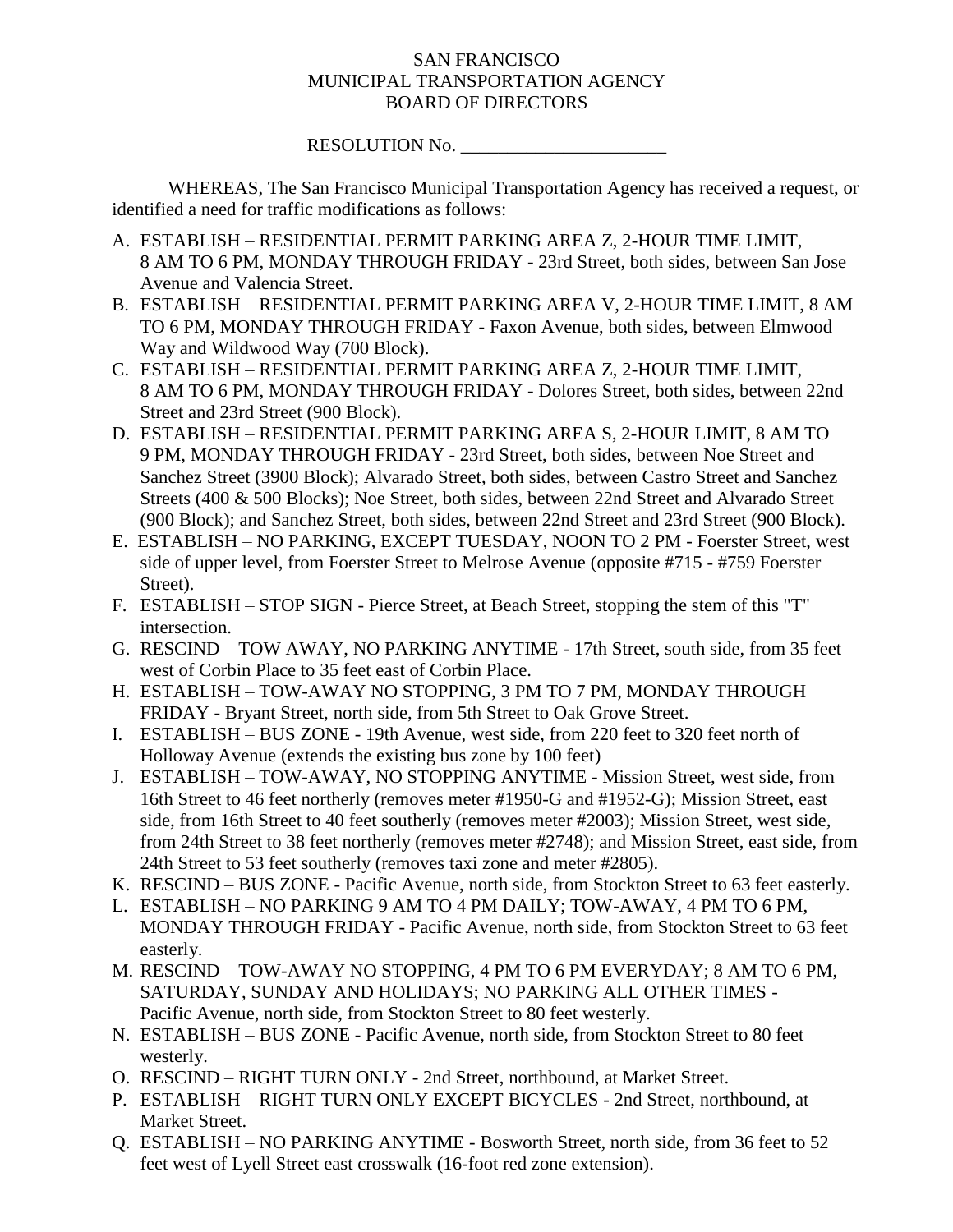### SAN FRANCISCO MUNICIPAL TRANSPORTATION AGENCY BOARD OF DIRECTORS

#### RESOLUTION No.

WHEREAS, The San Francisco Municipal Transportation Agency has received a request, or identified a need for traffic modifications as follows:

- A. ESTABLISH RESIDENTIAL PERMIT PARKING AREA Z, 2-HOUR TIME LIMIT, 8 AM TO 6 PM, MONDAY THROUGH FRIDAY - 23rd Street, both sides, between San Jose Avenue and Valencia Street.
- B. ESTABLISH RESIDENTIAL PERMIT PARKING AREA V, 2-HOUR TIME LIMIT, 8 AM TO 6 PM, MONDAY THROUGH FRIDAY - Faxon Avenue, both sides, between Elmwood Way and Wildwood Way (700 Block).
- C. ESTABLISH RESIDENTIAL PERMIT PARKING AREA Z, 2-HOUR TIME LIMIT, 8 AM TO 6 PM, MONDAY THROUGH FRIDAY - Dolores Street, both sides, between 22nd Street and 23rd Street (900 Block).
- D. ESTABLISH RESIDENTIAL PERMIT PARKING AREA S, 2-HOUR LIMIT, 8 AM TO 9 PM, MONDAY THROUGH FRIDAY - 23rd Street, both sides, between Noe Street and Sanchez Street (3900 Block); Alvarado Street, both sides, between Castro Street and Sanchez Streets (400 & 500 Blocks); Noe Street, both sides, between 22nd Street and Alvarado Street (900 Block); and Sanchez Street, both sides, between 22nd Street and 23rd Street (900 Block).
- E. ESTABLISH NO PARKING, EXCEPT TUESDAY, NOON TO 2 PM Foerster Street, west side of upper level, from Foerster Street to Melrose Avenue (opposite #715 - #759 Foerster Street).
- F. ESTABLISH STOP SIGN Pierce Street, at Beach Street, stopping the stem of this "T" intersection.
- G. RESCIND TOW AWAY, NO PARKING ANYTIME 17th Street, south side, from 35 feet west of Corbin Place to 35 feet east of Corbin Place.
- H. ESTABLISH TOW-AWAY NO STOPPING, 3 PM TO 7 PM, MONDAY THROUGH FRIDAY - Bryant Street, north side, from 5th Street to Oak Grove Street.
- I. ESTABLISH BUS ZONE 19th Avenue, west side, from 220 feet to 320 feet north of Holloway Avenue (extends the existing bus zone by 100 feet)
- J. ESTABLISH TOW-AWAY, NO STOPPING ANYTIME Mission Street, west side, from 16th Street to 46 feet northerly (removes meter #1950-G and #1952-G); Mission Street, east side, from 16th Street to 40 feet southerly (removes meter #2003); Mission Street, west side, from 24th Street to 38 feet northerly (removes meter #2748); and Mission Street, east side, from 24th Street to 53 feet southerly (removes taxi zone and meter #2805).
- K. RESCIND BUS ZONE Pacific Avenue, north side, from Stockton Street to 63 feet easterly.
- L. ESTABLISH NO PARKING 9 AM TO 4 PM DAILY; TOW-AWAY, 4 PM TO 6 PM, MONDAY THROUGH FRIDAY - Pacific Avenue, north side, from Stockton Street to 63 feet easterly.
- M. RESCIND TOW-AWAY NO STOPPING, 4 PM TO 6 PM EVERYDAY; 8 AM TO 6 PM, SATURDAY, SUNDAY AND HOLIDAYS; NO PARKING ALL OTHER TIMES - Pacific Avenue, north side, from Stockton Street to 80 feet westerly.
- N. ESTABLISH BUS ZONE Pacific Avenue, north side, from Stockton Street to 80 feet westerly.
- O. RESCIND RIGHT TURN ONLY 2nd Street, northbound, at Market Street.
- P. ESTABLISH RIGHT TURN ONLY EXCEPT BICYCLES 2nd Street, northbound, at Market Street.
- Q. ESTABLISH NO PARKING ANYTIME Bosworth Street, north side, from 36 feet to 52 feet west of Lyell Street east crosswalk (16-foot red zone extension).